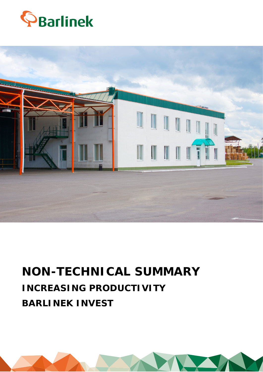



# **NON-TECHNICAL SUMMARY INCREASING PRODUCTIVITY BARLINEK INVEST**

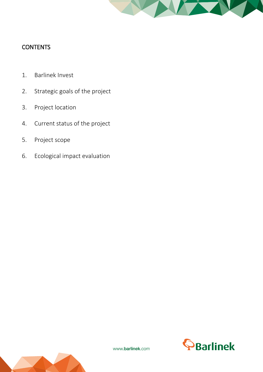

# **CONTENTS**

- 1. Barlinek Invest
- 2. Strategic goals of the project
- 3. Project location
- 4. Current status of the project
- 5. Project scope
- 6. Ecological impact evaluation



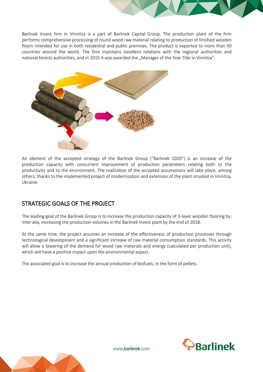Barlinek Invest firm in Vinnitsa is a part of Barlinek Capital Group. The production plant of the firm performs comprehensive processing of round wood raw material relating to production of finished wooden floors intended for use in both residential and public premises. The product is exported to more than 50 countries around the world. The firm maintains excellent relations with the regional authorities and national forests authorities, and in 2015 it was awarded the "Manager of the Year Title in Vinnitsa".



An element of the accepted strategy of the Barlinek Group ("Barlinek 2020") is an increase of the production capacity with concurrent improvement of production parameters relating both to the productivity and to the environment. The realization of the accepted assumptions will take place, among others, thanks to the implemented project of modernization and extension of the plant situated in Vinnitsa, Ukraine.

# STRATEGIC GOALS OF THE PROJECT

The leading goal of the Barlinek Group is to increase the production capacity of 3-layer wooden flooring by, inter alia, increasing the production volumes in the Barlinek Invest plant by the end of 2018.

At the same time, the project assumes an increase of the effectiveness of production processes through technological development and a significant increase of raw material consumption standards. This activity will allow a lowering of the demand for wood raw materials and energy (calculated per production unit), which will have a positive impact upon the environmental aspect.

The associated goal is to increase the annual production of biofuels, in the form of pellets.





www.barlinek.com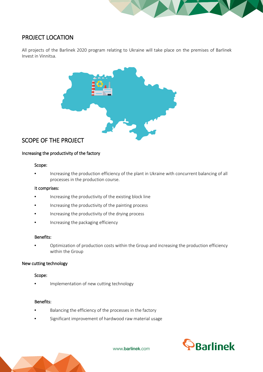## PROJECT LOCATION

All projects of the Barlinek 2020 program relating to Ukraine will take place on the premises of Barlinek Invest in Vinnitsa.



### SCOPE OF THE PROJECT

#### Increasing the productivity of the factory

#### Scope:

• Increasing the production efficiency of the plant in Ukraine with concurrent balancing of all processes in the production course.

#### It comprises:

- Increasing the productivity of the existing block line
- Increasing the productivity of the painting process
- Increasing the productivity of the drying process
- Increasing the packaging efficiency

#### Benefits:

• Optimization of production costs within the Group and increasing the production efficiency within the Group

#### New cutting technology

#### Scope:

• Implementation of new cutting technology

#### Benefits:

- Balancing the efficiency of the processes in the factory
- Significant improvement of hardwood raw material usage





www.barlinek.com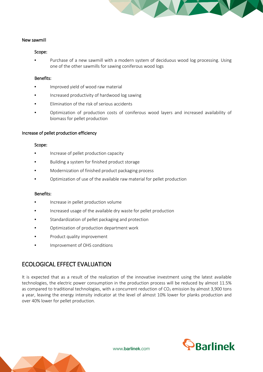

#### New sawmill

#### Scope:

Purchase of a new sawmill with a modern system of deciduous wood log processing. Using one of the other sawmills for sawing coniferous wood logs

#### Benefits:

- Improved yield of wood raw material
- Increased productivity of hardwood log sawing
- Elimination of the risk of serious accidents
- Optimization of production costs of coniferous wood layers and increased availability of biomass for pellet production

#### Increase of pellet production efficiency

#### Scope:

- Increase of pellet production capacity
- Building a system for finished product storage
- Modernization of finished product packaging process
- Optimization of use of the available raw material for pellet production

#### Benefits:

- Increase in pellet production volume
- Increased usage of the available dry waste for pellet production
- Standardization of pellet packaging and protection
- Optimization of production department work
- Product quality improvement
- Improvement of OHS conditions

## ECOLOGICAL EFFECT EVALUATION

It is expected that as a result of the realization of the innovative investment using the latest available technologies, the electric power consumption in the production process will be reduced by almost 11.5% as compared to traditional technologies, with a concurrent reduction of  $CO<sub>2</sub>$  emission by almost 3,900 tons a year, leaving the energy intensity indicator at the level of almost 10% lower for planks production and over 40% lower for pellet production.



www.barlinek.com